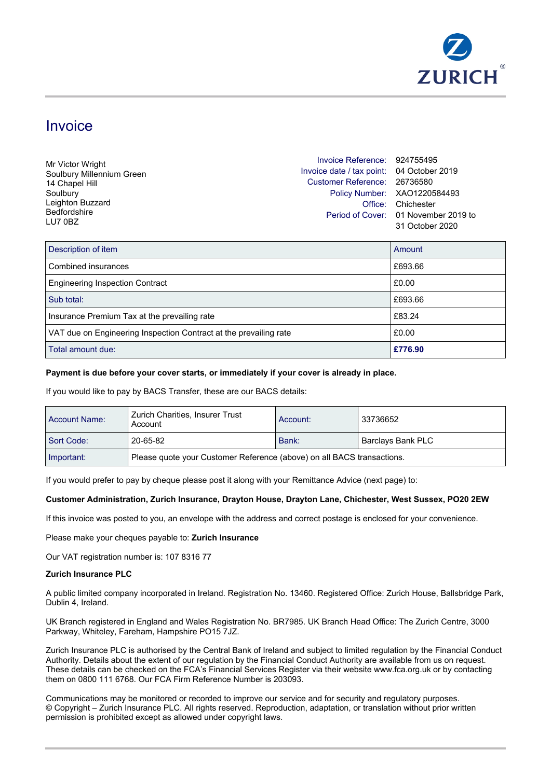

## Invoice

| Mr Victor Wright          | Invoice Reference: 924755495              |                                      |
|---------------------------|-------------------------------------------|--------------------------------------|
| Soulbury Millennium Green | Invoice date / tax point: 04 October 2019 |                                      |
| 14 Chapel Hill            | Customer Reference: 26736580              |                                      |
| Soulbury                  |                                           | Policy Number: XAO1220584493         |
| Leighton Buzzard          |                                           | Office: Chichester                   |
| <b>Bedfordshire</b>       |                                           | Period of Cover: 01 November 2019 to |
| LU7 0BZ                   |                                           | 31 October 2020                      |
|                           |                                           |                                      |

| Description of item                                               | Amount  |
|-------------------------------------------------------------------|---------|
| Combined insurances                                               | £693.66 |
| <b>Engineering Inspection Contract</b>                            | £0.00   |
| Sub total:                                                        | £693.66 |
| Insurance Premium Tax at the prevailing rate                      | £83.24  |
| VAT due on Engineering Inspection Contract at the prevailing rate | £0.00   |
| Total amount due:                                                 | £776.90 |

### **Payment is due before your cover starts, or immediately if your cover is already in place.**

If you would like to pay by BACS Transfer, these are our BACS details:

| Account Name: | <b>Zurich Charities, Insurer Trust</b><br>Account                      | Account: | 33736652          |
|---------------|------------------------------------------------------------------------|----------|-------------------|
| Sort Code:    | 20-65-82                                                               | Bank:    | Barclavs Bank PLC |
| Important:    | Please quote your Customer Reference (above) on all BACS transactions. |          |                   |

If you would prefer to pay by cheque please post it along with your Remittance Advice (next page) to:

### **Customer Administration, Zurich Insurance, Drayton House, Drayton Lane, Chichester, West Sussex, PO20 2EW**

If this invoice was posted to you, an envelope with the address and correct postage is enclosed for your convenience.

Please make your cheques payable to: **Zurich Insurance**

Our VAT registration number is: 107 8316 77

### **Zurich Insurance PLC**

A public limited company incorporated in Ireland. Registration No. 13460. Registered Office: Zurich House, Ballsbridge Park, Dublin 4, Ireland.

UK Branch registered in England and Wales Registration No. BR7985. UK Branch Head Office: The Zurich Centre, 3000 Parkway, Whiteley, Fareham, Hampshire PO15 7JZ.

Zurich Insurance PLC is authorised by the Central Bank of Ireland and subject to limited regulation by the Financial Conduct Authority. Details about the extent of our regulation by the Financial Conduct Authority are available from us on request. These details can be checked on the FCA's Financial Services Register via their website www.fca.org.uk or by contacting them on 0800 111 6768. Our FCA Firm Reference Number is 203093.

Communications may be monitored or recorded to improve our service and for security and regulatory purposes. © Copyright – Zurich Insurance PLC. All rights reserved. Reproduction, adaptation, or translation without prior written permission is prohibited except as allowed under copyright laws.